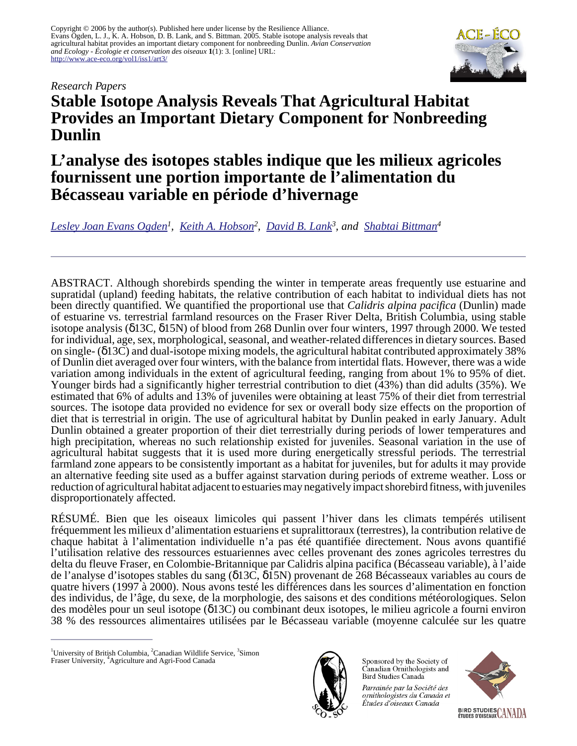Copyright © 2006 by the author(s). Published here under license by the Resilience Alliance. Evans Ogden, L. J., K. A. Hobson, D. B. Lank, and S. Bittman. 2005. Stable isotope analysis reveals that agricultural habitat provides an important dietary component for nonbreeding Dunlin. *Avian Conservation and Ecology - Écologie et conservation des oiseaux* **1**(1): 3. [online] URL: <http://www.ace-eco.org/vol1/iss1/art3/>



#### *Research Papers*

# **Stable Isotope Analysis Reveals That Agricultural Habitat Provides an Important Dietary Component for Nonbreeding Dunlin**

# **L'analyse des isotopes stables indique que les milieux agricoles fournissent une portion importante de l'alimentation du Bécasseau variable en période d'hivernage**

*[Lesley Joan Evans Ogden](mailto:lesleyje@interchange.ubc.ca)<sup>1</sup> , [Keith A. Hobson](mailto:Keith.Hobson@EC.GC.CA)<sup>2</sup> , [David B. Lank](mailto:dlank@sfu.ca)<sup>3</sup> , and [Shabtai Bittman](mailto:bittmans@agr.gc.ca)<sup>4</sup>*

ABSTRACT. Although shorebirds spending the winter in temperate areas frequently use estuarine and supratidal (upland) feeding habitats, the relative contribution of each habitat to individual diets has not been directly quantified. We quantified the proportional use that *Calidris alpina pacifica* (Dunlin) made of estuarine vs. terrestrial farmland resources on the Fraser River Delta, British Columbia, using stable isotope analysis (δ13C, δ15N) of blood from 268 Dunlin over four winters, 1997 through 2000. We tested for individual, age, sex, morphological, seasonal, and weather-related differences in dietary sources. Based on single- (δ13C) and dual-isotope mixing models, the agricultural habitat contributed approximately 38% of Dunlin diet averaged over four winters, with the balance from intertidal flats. However, there was a wide variation among individuals in the extent of agricultural feeding, ranging from about 1% to 95% of diet. Younger birds had a significantly higher terrestrial contribution to diet (43%) than did adults (35%). We estimated that 6% of adults and 13% of juveniles were obtaining at least 75% of their diet from terrestrial sources. The isotope data provided no evidence for sex or overall body size effects on the proportion of diet that is terrestrial in origin. The use of agricultural habitat by Dunlin peaked in early January. Adult Dunlin obtained a greater proportion of their diet terrestrially during periods of lower temperatures and high precipitation, whereas no such relationship existed for juveniles. Seasonal variation in the use of agricultural habitat suggests that it is used more during energetically stressful periods. The terrestrial farmland zone appears to be consistently important as a habitat for juveniles, but for adults it may provide an alternative feeding site used as a buffer against starvation during periods of extreme weather. Loss or reduction of agricultural habitat adjacent to estuaries may negatively impact shorebird fitness, with juveniles disproportionately affected.

RÉSUMÉ. Bien que les oiseaux limicoles qui passent l'hiver dans les climats tempérés utilisent fréquemment les milieux d'alimentation estuariens et supralittoraux (terrestres), la contribution relative de chaque habitat à l'alimentation individuelle n'a pas été quantifiée directement. Nous avons quantifié l'utilisation relative des ressources estuariennes avec celles provenant des zones agricoles terrestres du delta du fleuve Fraser, en Colombie-Britannique par Calidris alpina pacifica (Bécasseau variable), à l'aide de l'analyse d'isotopes stables du sang (δ13C, δ15N) provenant de 268 Bécasseaux variables au cours de quatre hivers (1997 à 2000). Nous avons testé les différences dans les sources d'alimentation en fonction des individus, de l'âge, du sexe, de la morphologie, des saisons et des conditions météorologiques. Selon des modèles pour un seul isotope (δ13C) ou combinant deux isotopes, le milieu agricole a fourni environ 38 % des ressources alimentaires utilisées par le Bécasseau variable (moyenne calculée sur les quatre



Sponsored by the Society of Canadian Ornithologists and Bird Studies Canada

Parrainée par la Société des ornithologistes du Canada et Études d'oiseaux Canada



<sup>&</sup>lt;sup>1</sup>University of British Columbia, <sup>2</sup>Canadian Wildlife Service, <sup>3</sup>Simon Fraser University, <sup>4</sup>Agriculture and Agri-Food Canada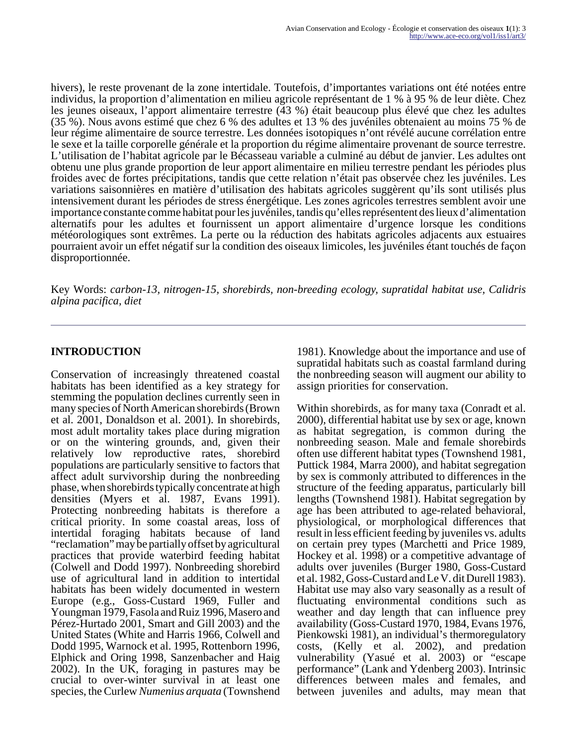hivers), le reste provenant de la zone intertidale. Toutefois, d'importantes variations ont été notées entre individus, la proportion d'alimentation en milieu agricole représentant de 1 % à 95 % de leur diète. Chez les jeunes oiseaux, l'apport alimentaire terrestre (43 %) était beaucoup plus élevé que chez les adultes (35 %). Nous avons estimé que chez 6 % des adultes et 13 % des juvéniles obtenaient au moins 75 % de leur régime alimentaire de source terrestre. Les données isotopiques n'ont révélé aucune corrélation entre le sexe et la taille corporelle générale et la proportion du régime alimentaire provenant de source terrestre. L'utilisation de l'habitat agricole par le Bécasseau variable a culminé au début de janvier. Les adultes ont obtenu une plus grande proportion de leur apport alimentaire en milieu terrestre pendant les périodes plus froides avec de fortes précipitations, tandis que cette relation n'était pas observée chez les juvéniles. Les variations saisonnières en matière d'utilisation des habitats agricoles suggèrent qu'ils sont utilisés plus intensivement durant les périodes de stress énergétique. Les zones agricoles terrestres semblent avoir une importance constante comme habitat pour les juvéniles, tandis qu'elles représentent des lieux d'alimentation alternatifs pour les adultes et fournissent un apport alimentaire d'urgence lorsque les conditions météorologiques sont extrêmes. La perte ou la réduction des habitats agricoles adjacents aux estuaires pourraient avoir un effet négatif sur la condition des oiseaux limicoles, les juvéniles étant touchés de façon disproportionnée.

Key Words: *carbon-13, nitrogen-15, shorebirds, non-breeding ecology, supratidal habitat use, Calidris alpina pacifica, diet*

## **INTRODUCTION**

Conservation of increasingly threatened coastal habitats has been identified as a key strategy for stemming the population declines currently seen in many species of North American shorebirds (Brown et al. 2001, Donaldson et al. 2001). In shorebirds, most adult mortality takes place during migration or on the wintering grounds, and, given their relatively low reproductive rates, shorebird populations are particularly sensitive to factors that affect adult survivorship during the nonbreeding phase, when shorebirds typically concentrate at high densities (Myers et al. 1987, Evans 1991). Protecting nonbreeding habitats is therefore a critical priority. In some coastal areas, loss of intertidal foraging habitats because of land "reclamation" may be partially offset by agricultural practices that provide waterbird feeding habitat (Colwell and Dodd 1997). Nonbreeding shorebird use of agricultural land in addition to intertidal habitats has been widely documented in western Europe (e.g., Goss-Custard 1969, Fuller and Youngman 1979, Fasola and Ruiz 1996, Masero and Pérez-Hurtado 2001, Smart and Gill 2003) and the United States (White and Harris 1966, Colwell and Dodd 1995, Warnock et al. 1995, Rottenborn 1996, Elphick and Oring 1998, Sanzenbacher and Haig 2002). In the UK, foraging in pastures may be crucial to over-winter survival in at least one species, the Curlew *Numenius arquata* (Townshend

1981). Knowledge about the importance and use of supratidal habitats such as coastal farmland during the nonbreeding season will augment our ability to assign priorities for conservation.

Within shorebirds, as for many taxa (Conradt et al. 2000), differential habitat use by sex or age, known as habitat segregation, is common during the nonbreeding season. Male and female shorebirds often use different habitat types (Townshend 1981, Puttick 1984, Marra 2000), and habitat segregation by sex is commonly attributed to differences in the structure of the feeding apparatus, particularly bill lengths (Townshend 1981). Habitat segregation by age has been attributed to age-related behavioral, physiological, or morphological differences that result in less efficient feeding by juveniles vs. adults on certain prey types (Marchetti and Price 1989, Hockey et al. 1998) or a competitive advantage of adults over juveniles (Burger 1980, Goss-Custard et al. 1982, Goss-Custard and Le V. dit Durell 1983). Habitat use may also vary seasonally as a result of fluctuating environmental conditions such as weather and day length that can influence prey availability (Goss-Custard 1970, 1984, Evans 1976, Pienkowski 1981), an individual's thermoregulatory costs, (Kelly et al. 2002), and predation vulnerability (Yasué et al. 2003) or "escape performance" (Lank and Ydenberg 2003). Intrinsic differences between males and females, and between juveniles and adults, may mean that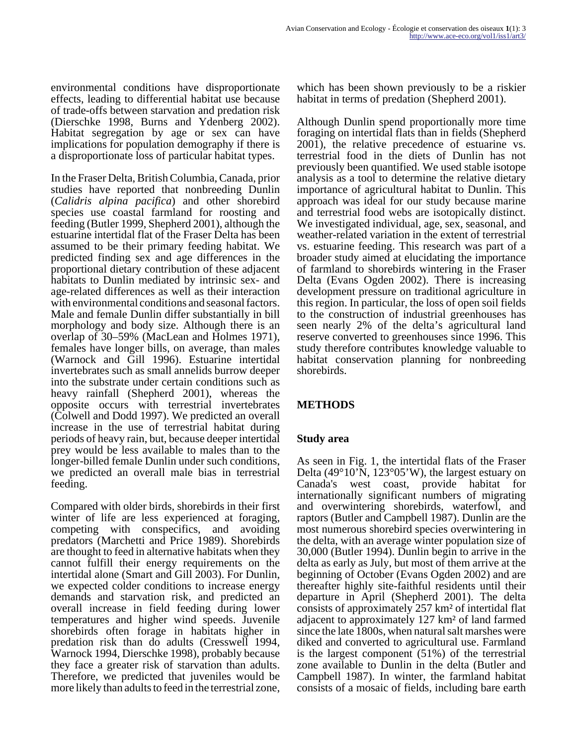environmental conditions have disproportionate effects, leading to differential habitat use because of trade-offs between starvation and predation risk (Dierschke 1998, Burns and Ydenberg 2002). Habitat segregation by age or sex can have implications for population demography if there is a disproportionate loss of particular habitat types.

In the Fraser Delta, British Columbia, Canada, prior studies have reported that nonbreeding Dunlin (*Calidris alpina pacifica*) and other shorebird species use coastal farmland for roosting and feeding (Butler 1999, Shepherd 2001), although the estuarine intertidal flat of the Fraser Delta has been assumed to be their primary feeding habitat. We predicted finding sex and age differences in the proportional dietary contribution of these adjacent habitats to Dunlin mediated by intrinsic sex- and age-related differences as well as their interaction with environmental conditions and seasonal factors. Male and female Dunlin differ substantially in bill morphology and body size. Although there is an overlap of 30–59% (MacLean and Holmes 1971), females have longer bills, on average, than males (Warnock and Gill 1996). Estuarine intertidal invertebrates such as small annelids burrow deeper into the substrate under certain conditions such as heavy rainfall (Shepherd 2001), whereas the opposite occurs with terrestrial invertebrates (Colwell and Dodd 1997). We predicted an overall increase in the use of terrestrial habitat during periods of heavy rain, but, because deeper intertidal prey would be less available to males than to the longer-billed female Dunlin under such conditions, we predicted an overall male bias in terrestrial feeding.

Compared with older birds, shorebirds in their first winter of life are less experienced at foraging, competing with conspecifics, and avoiding predators (Marchetti and Price 1989). Shorebirds are thought to feed in alternative habitats when they cannot fulfill their energy requirements on the intertidal alone (Smart and Gill 2003). For Dunlin, we expected colder conditions to increase energy demands and starvation risk, and predicted an overall increase in field feeding during lower temperatures and higher wind speeds. Juvenile shorebirds often forage in habitats higher in predation risk than do adults (Cresswell 1994, Warnock 1994, Dierschke 1998), probably because they face a greater risk of starvation than adults. Therefore, we predicted that juveniles would be more likely than adults to feed in the terrestrial zone,

which has been shown previously to be a riskier habitat in terms of predation (Shepherd 2001).

Although Dunlin spend proportionally more time foraging on intertidal flats than in fields (Shepherd 2001), the relative precedence of estuarine vs. terrestrial food in the diets of Dunlin has not previously been quantified. We used stable isotope analysis as a tool to determine the relative dietary importance of agricultural habitat to Dunlin. This approach was ideal for our study because marine and terrestrial food webs are isotopically distinct. We investigated individual, age, sex, seasonal, and weather-related variation in the extent of terrestrial vs. estuarine feeding. This research was part of a broader study aimed at elucidating the importance of farmland to shorebirds wintering in the Fraser Delta (Evans Ogden 2002). There is increasing development pressure on traditional agriculture in this region. In particular, the loss of open soil fields to the construction of industrial greenhouses has seen nearly 2% of the delta's agricultural land reserve converted to greenhouses since 1996. This study therefore contributes knowledge valuable to habitat conservation planning for nonbreeding shorebirds.

# **METHODS**

# **Study area**

As seen in Fig. 1, the intertidal flats of the Fraser Delta (49°10'N, 123°05'W), the largest estuary on Canada's west coast, provide habitat for internationally significant numbers of migrating and overwintering shorebirds, waterfowl, and raptors (Butler and Campbell 1987). Dunlin are the most numerous shorebird species overwintering in the delta, with an average winter population size of 30,000 (Butler 1994). Dunlin begin to arrive in the delta as early as July, but most of them arrive at the beginning of October (Evans Ogden 2002) and are thereafter highly site-faithful residents until their departure in April (Shepherd 2001). The delta consists of approximately 257 km² of intertidal flat adjacent to approximately 127 km² of land farmed since the late 1800s, when natural salt marshes were diked and converted to agricultural use. Farmland is the largest component (51%) of the terrestrial zone available to Dunlin in the delta (Butler and Campbell 1987). In winter, the farmland habitat consists of a mosaic of fields, including bare earth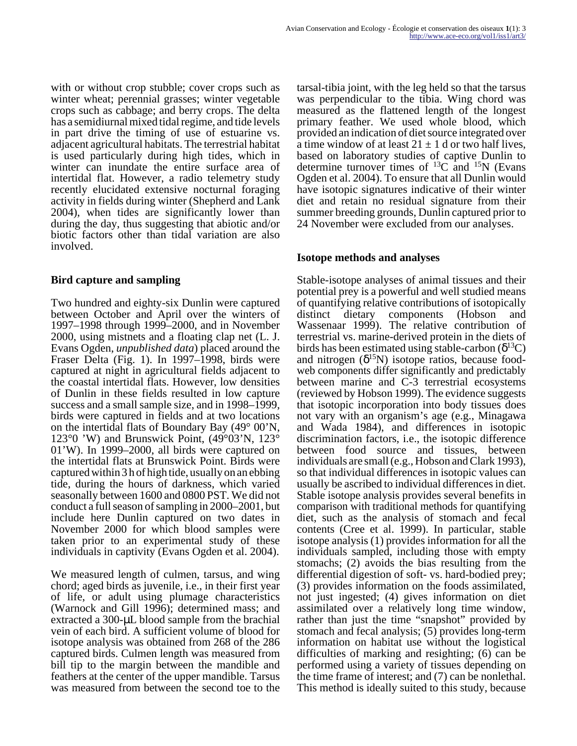with or without crop stubble; cover crops such as winter wheat; perennial grasses; winter vegetable crops such as cabbage; and berry crops. The delta has a semidiurnal mixed tidal regime, and tide levels in part drive the timing of use of estuarine vs. adjacent agricultural habitats. The terrestrial habitat is used particularly during high tides, which in winter can inundate the entire surface area of intertidal flat. However, a radio telemetry study recently elucidated extensive nocturnal foraging activity in fields during winter (Shepherd and Lank 2004), when tides are significantly lower than during the day, thus suggesting that abiotic and/or biotic factors other than tidal variation are also involved.

#### **Bird capture and sampling**

Two hundred and eighty-six Dunlin were captured between October and April over the winters of 1997–1998 through 1999–2000, and in November 2000, using mistnets and a floating clap net (L. J. Evans Ogden, *unpublished data*) placed around the Fraser Delta (Fig. 1). In 1997–1998, birds were captured at night in agricultural fields adjacent to the coastal intertidal flats. However, low densities of Dunlin in these fields resulted in low capture success and a small sample size, and in 1998–1999, birds were captured in fields and at two locations on the intertidal flats of Boundary Bay (49° 00'N, 123°0 'W) and Brunswick Point, (49°03'N, 123° 01'W). In 1999–2000, all birds were captured on the intertidal flats at Brunswick Point. Birds were captured within 3 h of high tide, usually on an ebbing tide, during the hours of darkness, which varied seasonally between 1600 and 0800 PST. We did not conduct a full season of sampling in 2000–2001, but include here Dunlin captured on two dates in November 2000 for which blood samples were taken prior to an experimental study of these individuals in captivity (Evans Ogden et al. 2004).

We measured length of culmen, tarsus, and wing chord; aged birds as juvenile, i.e., in their first year of life, or adult using plumage characteristics (Warnock and Gill 1996); determined mass; and extracted a 300-µL blood sample from the brachial vein of each bird. A sufficient volume of blood for isotope analysis was obtained from 268 of the 286 captured birds. Culmen length was measured from bill tip to the margin between the mandible and feathers at the center of the upper mandible. Tarsus was measured from between the second toe to the

tarsal-tibia joint, with the leg held so that the tarsus was perpendicular to the tibia. Wing chord was measured as the flattened length of the longest primary feather. We used whole blood, which provided an indication of diet source integrated over a time window of at least  $21 \pm 1$  d or two half lives. based on laboratory studies of captive Dunlin to determine turnover times of  ${}^{13}C$  and  ${}^{15}N$  (Evans Ogden et al. 2004). To ensure that all Dunlin would have isotopic signatures indicative of their winter diet and retain no residual signature from their summer breeding grounds, Dunlin captured prior to 24 November were excluded from our analyses.

#### **Isotope methods and analyses**

Stable-isotope analyses of animal tissues and their potential prey is a powerful and well studied means of quantifying relative contributions of isotopically distinct dietary components (Hobson and Wassenaar 1999). The relative contribution of terrestrial vs. marine-derived protein in the diets of birds has been estimated using stable-carbon  $(\delta^{13}C)$ and nitrogen  $(\delta^{15}N)$  isotope ratios, because foodweb components differ significantly and predictably between marine and C-3 terrestrial ecosystems (reviewed by Hobson 1999). The evidence suggests that isotopic incorporation into body tissues does not vary with an organism's age (e.g., Minagawa and Wada 1984), and differences in isotopic discrimination factors, i.e., the isotopic difference between food source and tissues, between individuals are small (e.g., Hobson and Clark 1993), so that individual differences in isotopic values can usually be ascribed to individual differences in diet. Stable isotope analysis provides several benefits in comparison with traditional methods for quantifying diet, such as the analysis of stomach and fecal contents (Cree et al. 1999). In particular, stable isotope analysis (1) provides information for all the individuals sampled, including those with empty stomachs; (2) avoids the bias resulting from the differential digestion of soft- vs. hard-bodied prey; (3) provides information on the foods assimilated, not just ingested; (4) gives information on diet assimilated over a relatively long time window, rather than just the time "snapshot" provided by stomach and fecal analysis; (5) provides long-term information on habitat use without the logistical difficulties of marking and resighting; (6) can be performed using a variety of tissues depending on the time frame of interest; and (7) can be nonlethal. This method is ideally suited to this study, because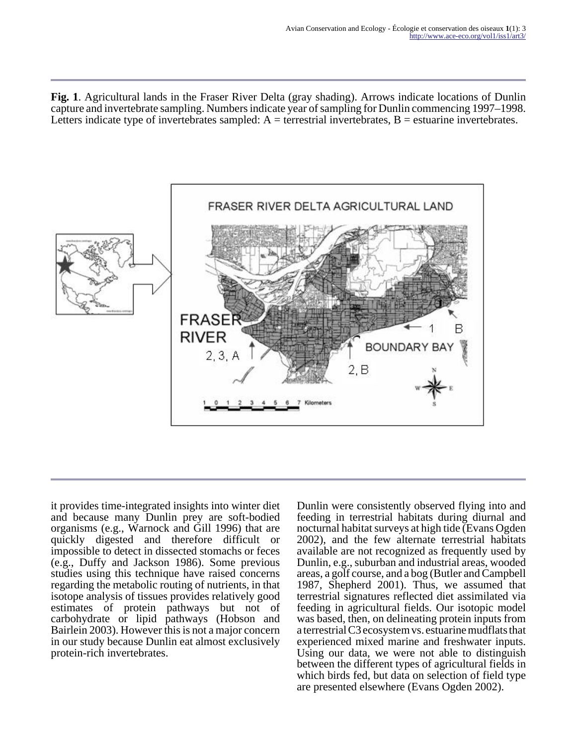**Fig. 1**. Agricultural lands in the Fraser River Delta (gray shading). Arrows indicate locations of Dunlin capture and invertebrate sampling. Numbers indicate year of sampling for Dunlin commencing 1997–1998. Letters indicate type of invertebrates sampled:  $A =$  terrestrial invertebrates,  $B =$  estuarine invertebrates.



it provides time-integrated insights into winter diet and because many Dunlin prey are soft-bodied organisms (e.g., Warnock and Gill 1996) that are quickly digested and therefore difficult or impossible to detect in dissected stomachs or feces (e.g., Duffy and Jackson 1986). Some previous studies using this technique have raised concerns regarding the metabolic routing of nutrients, in that isotope analysis of tissues provides relatively good estimates of protein pathways but not of carbohydrate or lipid pathways (Hobson and Bairlein 2003). However this is not a major concern in our study because Dunlin eat almost exclusively protein-rich invertebrates.

Dunlin were consistently observed flying into and feeding in terrestrial habitats during diurnal and nocturnal habitat surveys at high tide (Evans Ogden 2002), and the few alternate terrestrial habitats available are not recognized as frequently used by Dunlin, e.g., suburban and industrial areas, wooded areas, a golf course, and a bog (Butler and Campbell 1987, Shepherd 2001). Thus, we assumed that terrestrial signatures reflected diet assimilated via feeding in agricultural fields. Our isotopic model was based, then, on delineating protein inputs from a terrestrial C3 ecosystem vs. estuarine mudflats that experienced mixed marine and freshwater inputs. Using our data, we were not able to distinguish between the different types of agricultural fields in which birds fed, but data on selection of field type are presented elsewhere (Evans Ogden 2002).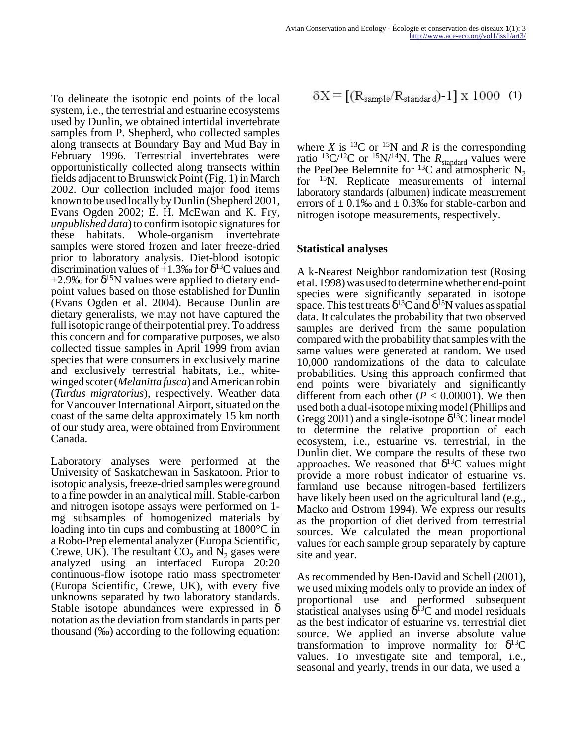To delineate the isotopic end points of the local system, i.e., the terrestrial and estuarine ecosystems used by Dunlin, we obtained intertidal invertebrate samples from P. Shepherd, who collected samples along transects at Boundary Bay and Mud Bay in February 1996. Terrestrial invertebrates were opportunistically collected along transects within fields adjacent to Brunswick Point (Fig. 1) in March 2002. Our collection included major food items known to be used locally by Dunlin (Shepherd 2001, Evans Ogden 2002; E. H. McEwan and K. Fry, *unpublished data*) to confirm isotopic signatures for these habitats. Whole-organism invertebrate samples were stored frozen and later freeze-dried prior to laboratory analysis. Diet-blood isotopic discrimination values of  $+1.3\%$  for  $\delta^{13}$ C values and +2.9‰ for  $\delta^{15}N$  values were applied to dietary endpoint values based on those established for Dunlin (Evans Ogden et al. 2004). Because Dunlin are dietary generalists, we may not have captured the full isotopic range of their potential prey. To address this concern and for comparative purposes, we also collected tissue samples in April 1999 from avian species that were consumers in exclusively marine and exclusively terrestrial habitats, i.e., whitewinged scoter (*Melanitta fusca*) and American robin (*Turdus migratorius*), respectively. Weather data for Vancouver International Airport, situated on the coast of the same delta approximately 15 km north of our study area, were obtained from Environment Canada.

Laboratory analyses were performed at the University of Saskatchewan in Saskatoon. Prior to isotopic analysis, freeze-dried samples were ground to a fine powder in an analytical mill. Stable-carbon and nitrogen isotope assays were performed on 1 mg subsamples of homogenized materials by loading into tin cups and combusting at 1800°C in a Robo-Prep elemental analyzer (Europa Scientific, Crewe, UK). The resultant  $CO_2$  and  $N_2$  gases were analyzed using an interfaced Europa 20:20 continuous-flow isotope ratio mass spectrometer (Europa Scientific, Crewe, UK), with every five unknowns separated by two laboratory standards. Stable isotope abundances were expressed in δ notation as the deviation from standards in parts per thousand (‰) according to the following equation:

$$
\delta X = \left[ (R_{\text{sample}}/R_{\text{standard}}) \text{-}1 \right] \ge 1000 \quad (1)
$$

where *X* is <sup>13</sup>C or <sup>15</sup>N and *R* is the corresponding ratio <sup>13</sup>C/<sup>12</sup>C or <sup>15</sup>N/<sup>14</sup>N. The  $R_{standard}$  values were the PeeDee Belemnite for  $^{13}$ C and atmospheric N<sub>2</sub> for <sup>15</sup>N. Replicate measurements of internal laboratory standards (albumen) indicate measurement errors of  $\pm$  0.1‰ and  $\pm$  0.3‰ for stable-carbon and nitrogen isotope measurements, respectively.

#### **Statistical analyses**

A k-Nearest Neighbor randomization test (Rosing et al. 1998) was used to determine whether end-point species were significantly separated in isotope space. This test treats  $\delta^{13}C$  and  $\delta^{15}N$  values as spatial data. It calculates the probability that two observed samples are derived from the same population compared with the probability that samples with the same values were generated at random. We used 10,000 randomizations of the data to calculate probabilities. Using this approach confirmed that end points were bivariately and significantly different from each other  $(P < 0.00001)$ . We then used both a dual-isotope mixing model (Phillips and Gregg 2001) and a single-isotope  $\delta^{13}$ C linear model to determine the relative proportion of each ecosystem, i.e., estuarine vs. terrestrial, in the Dunlin diet. We compare the results of these two approaches. We reasoned that  $\delta^{13}$ C values might provide a more robust indicator of estuarine vs. farmland use because nitrogen-based fertilizers have likely been used on the agricultural land (e.g., Macko and Ostrom 1994). We express our results as the proportion of diet derived from terrestrial sources. We calculated the mean proportional values for each sample group separately by capture site and year.

As recommended by Ben-David and Schell (2001), we used mixing models only to provide an index of proportional use and performed subsequent statistical analyses using  $\delta^{13}$ C and model residuals as the best indicator of estuarine vs. terrestrial diet source. We applied an inverse absolute value transformation to improve normality for  $\delta^{13}C$ values. To investigate site and temporal, i.e., seasonal and yearly, trends in our data, we used a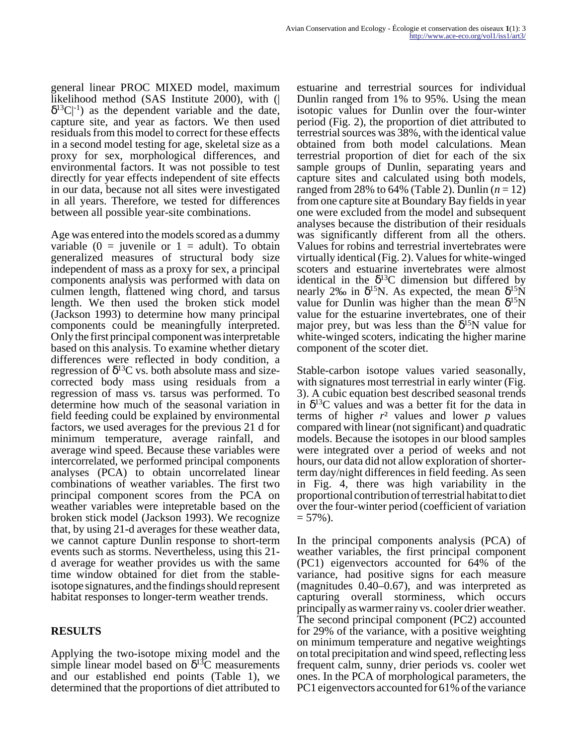general linear PROC MIXED model, maximum likelihood method (SAS Institute 2000), with (|  $\delta^{13}C$ <sup>-1</sup>) as the dependent variable and the date, capture site, and year as factors. We then used residuals from this model to correct for these effects in a second model testing for age, skeletal size as a proxy for sex, morphological differences, and environmental factors. It was not possible to test directly for year effects independent of site effects in our data, because not all sites were investigated in all years. Therefore, we tested for differences between all possible year-site combinations.

Age was entered into the models scored as a dummy variable  $(0 =$  juvenile or  $1 =$  adult). To obtain generalized measures of structural body size independent of mass as a proxy for sex, a principal components analysis was performed with data on culmen length, flattened wing chord, and tarsus length. We then used the broken stick model (Jackson 1993) to determine how many principal components could be meaningfully interpreted. Only the first principal component was interpretable based on this analysis. To examine whether dietary differences were reflected in body condition, a regression of  $\delta^{13}$ C vs. both absolute mass and sizecorrected body mass using residuals from a regression of mass vs. tarsus was performed. To determine how much of the seasonal variation in field feeding could be explained by environmental factors, we used averages for the previous 21 d for minimum temperature, average rainfall, and average wind speed. Because these variables were intercorrelated, we performed principal components analyses (PCA) to obtain uncorrelated linear combinations of weather variables. The first two principal component scores from the PCA on weather variables were intepretable based on the broken stick model (Jackson 1993). We recognize that, by using 21-d averages for these weather data, we cannot capture Dunlin response to short-term events such as storms. Nevertheless, using this 21 d average for weather provides us with the same time window obtained for diet from the stableisotope signatures, and the findings should represent habitat responses to longer-term weather trends.

# **RESULTS**

Applying the two-isotope mixing model and the simple linear model based on  $\delta^{13}$ C measurements and our established end points (Table 1), we determined that the proportions of diet attributed to estuarine and terrestrial sources for individual Dunlin ranged from 1% to 95%. Using the mean isotopic values for Dunlin over the four-winter period (Fig. 2), the proportion of diet attributed to terrestrial sources was 38%, with the identical value obtained from both model calculations. Mean terrestrial proportion of diet for each of the six sample groups of Dunlin, separating years and capture sites and calculated using both models, ranged from 28% to 64% (Table 2). Dunlin  $(n = 12)$ from one capture site at Boundary Bay fields in year one were excluded from the model and subsequent analyses because the distribution of their residuals was significantly different from all the others. Values for robins and terrestrial invertebrates were virtually identical (Fig. 2). Values for white-winged scoters and estuarine invertebrates were almost identical in the  $\delta^{13}$ C dimension but differed by nearly 2‰ in  $\delta^{15}N$ . As expected, the mean  $\delta^{15}N$ value for Dunlin was higher than the mean  $\delta^{15}N$ value for the estuarine invertebrates, one of their major prey, but was less than the  $\delta^{15}N$  value for white-winged scoters, indicating the higher marine component of the scoter diet.

Stable-carbon isotope values varied seasonally, with signatures most terrestrial in early winter (Fig. 3). A cubic equation best described seasonal trends in  $\delta^{13}$ C values and was a better fit for the data in terms of higher  $r^2$  values and lower  $p$  values compared with linear (not significant) and quadratic models. Because the isotopes in our blood samples were integrated over a period of weeks and not hours, our data did not allow exploration of shorterterm day/night differences in field feeding. As seen in Fig. 4, there was high variability in the proportional contribution of terrestrial habitat to diet over the four-winter period (coefficient of variation  $= 57\%$ ).

In the principal components analysis (PCA) of weather variables, the first principal component (PC1) eigenvectors accounted for 64% of the variance, had positive signs for each measure (magnitudes 0.40–0.67), and was interpreted as capturing overall storminess, which occurs principally as warmer rainy vs. cooler drier weather. The second principal component (PC2) accounted for 29% of the variance, with a positive weighting on minimum temperature and negative weightings on total precipitation and wind speed, reflecting less frequent calm, sunny, drier periods vs. cooler wet ones. In the PCA of morphological parameters, the PC1 eigenvectors accounted for 61% of the variance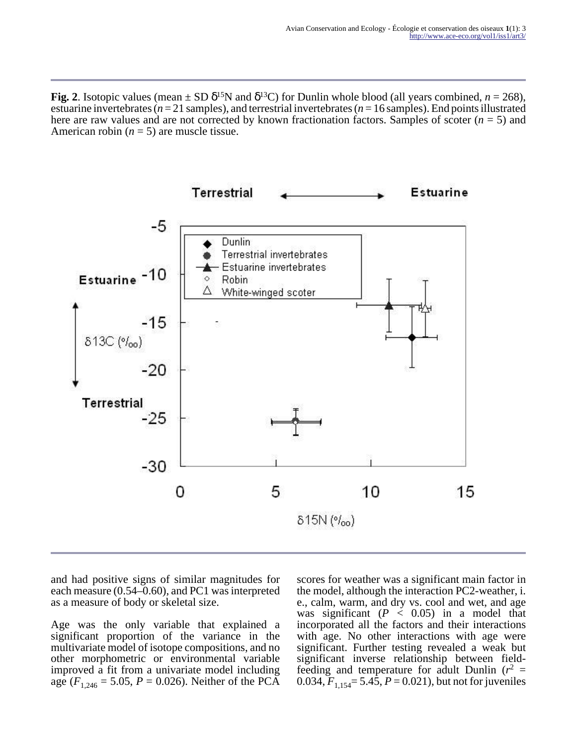**Fig. 2**. Isotopic values (mean  $\pm$  SD  $\delta^{15}N$  and  $\delta^{13}C$ ) for Dunlin whole blood (all years combined,  $n = 268$ ), estuarine invertebrates ( $n = 21$  samples), and terrestrial invertebrates ( $n = 16$  samples). End points illustrated here are raw values and are not corrected by known fractionation factors. Samples of scoter (*n* = 5) and American robin  $(n = 5)$  are muscle tissue.



and had positive signs of similar magnitudes for each measure (0.54–0.60), and PC1 was interpreted as a measure of body or skeletal size.

Age was the only variable that explained a significant proportion of the variance in the multivariate model of isotope compositions, and no other morphometric or environmental variable improved a fit from a univariate model including age  $(F_{1,246} = 5.05, P = 0.026)$ . Neither of the PCA scores for weather was a significant main factor in the model, although the interaction PC2-weather, i. e., calm, warm, and dry vs. cool and wet, and age was significant  $(P < 0.05)$  in a model that incorporated all the factors and their interactions with age. No other interactions with age were significant. Further testing revealed a weak but significant inverse relationship between fieldfeeding and temperature for adult Dunlin  $(r^2 =$ 0.034,  $F_{1,154}$ = 5.45,  $P = 0.021$ ), but not for juveniles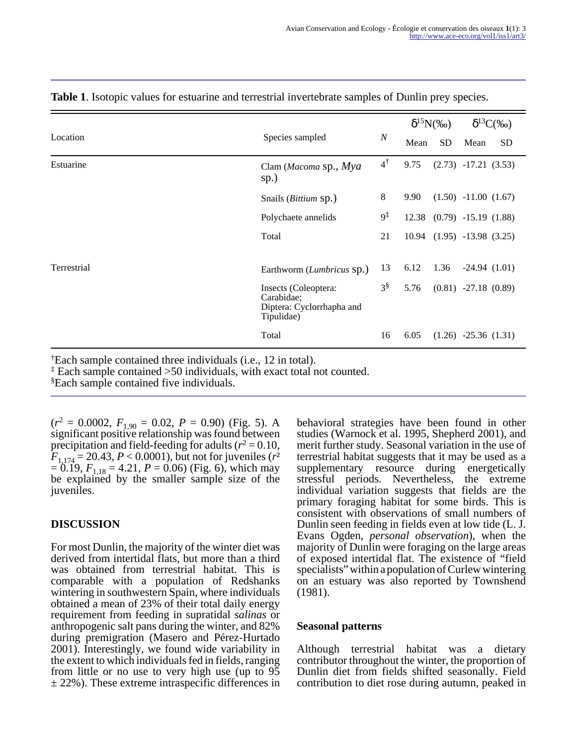|             |                                                                               |                  | $\delta^{15}N(\%0)$ |           | $\delta^{13}C(\%_0)$               |  |
|-------------|-------------------------------------------------------------------------------|------------------|---------------------|-----------|------------------------------------|--|
| Location    | Species sampled                                                               | $\boldsymbol{N}$ | Mean                | <b>SD</b> | <b>SD</b><br>Mean                  |  |
| Estuarine   | Clam (Macoma sp., $Mya$<br>sp.)                                               | $4^{\dagger}$    | 9.75                |           | $(2.73)$ -17.21 $(3.53)$           |  |
|             | Snails ( <i>Bittium</i> sp.)                                                  | 8                | 9.90                |           | $(1.50)$ -11.00 $(1.67)$           |  |
|             | Polychaete annelids                                                           | 9‡               |                     |           | 12.38 (0.79) -15.19 (1.88)         |  |
|             | Total                                                                         | 21               |                     |           | $10.94$ $(1.95)$ $-13.98$ $(3.25)$ |  |
| Terrestrial | Earthworm (Lumbricus sp.)                                                     | 13               | 6.12                | 1.36      | $-24.94(1.01)$                     |  |
|             | Insects (Coleoptera:<br>Carabidae;<br>Diptera: Cyclorrhapha and<br>Tipulidae) | $3^{\S}$         | 5.76                |           | $(0.81)$ -27.18 $(0.89)$           |  |
|             | Total                                                                         | 16               | 6.05                |           | $(1.26)$ $-25.36$ $(1.31)$         |  |

#### **Table 1**. Isotopic values for estuarine and terrestrial invertebrate samples of Dunlin prey species.

†Each sample contained three individuals (i.e., 12 in total).

‡ Each sample contained >50 individuals, with exact total not counted.

§Each sample contained five individuals.

 $(r^2 = 0.0002, F_{1,90} = 0.02, P = 0.90)$  (Fig. 5). A significant positive relationship was found between precipitation and field-feeding for adults ( $r^2 = 0.10$ ,  $F_{1,174} = 20.43, P < 0.0001$ , but not for juveniles ( $r^2$  $= 0.19, F<sub>1,18</sub> = 4.21, P = 0.06$  (Fig. 6), which may be explained by the smaller sample size of the juveniles.

### **DISCUSSION**

For most Dunlin, the majority of the winter diet was derived from intertidal flats, but more than a third was obtained from terrestrial habitat. This is comparable with a population of Redshanks wintering in southwestern Spain, where individuals obtained a mean of 23% of their total daily energy requirement from feeding in supratidal *salinas* or anthropogenic salt pans during the winter, and 82% during premigration (Masero and Pérez-Hurtado 2001). Interestingly, we found wide variability in the extent to which individuals fed in fields, ranging from little or no use to very high use (up to 95  $\pm$  22%). These extreme intraspecific differences in behavioral strategies have been found in other studies (Warnock et al. 1995, Shepherd 2001), and merit further study. Seasonal variation in the use of terrestrial habitat suggests that it may be used as a supplementary resource during energetically stressful periods. Nevertheless, the extreme individual variation suggests that fields are the primary foraging habitat for some birds. This is consistent with observations of small numbers of Dunlin seen feeding in fields even at low tide (L. J. Evans Ogden, *personal observation*), when the majority of Dunlin were foraging on the large areas of exposed intertidal flat. The existence of "field specialists" within a population of Curlew wintering on an estuary was also reported by Townshend (1981).

#### **Seasonal patterns**

Although terrestrial habitat was a dietary contributor throughout the winter, the proportion of Dunlin diet from fields shifted seasonally. Field contribution to diet rose during autumn, peaked in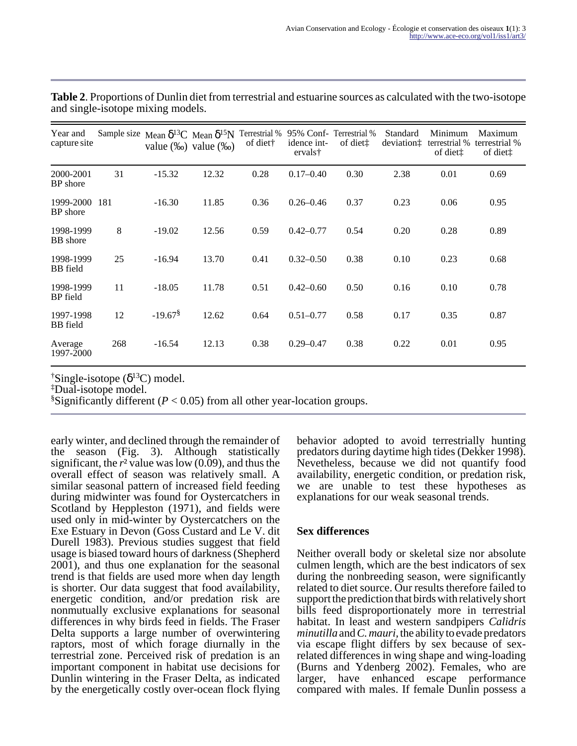| Year and<br>capture site     |     | Sample size Mean $\delta^{13}$ C Mean $\delta^{15}$ N Terrestrial %<br>value $(\%$ o) value $(\%$ o) |       | of diett | 95% Conf-<br>idence int-<br>ervals <sup>†</sup> | Terrestrial %<br>of diet‡ | Standard<br>deviation <sup>†</sup> | Minimum<br>terrestrial %<br>of diet <sup>†</sup> | Maximum<br>terrestrial %<br>of diet $\ddagger$ |
|------------------------------|-----|------------------------------------------------------------------------------------------------------|-------|----------|-------------------------------------------------|---------------------------|------------------------------------|--------------------------------------------------|------------------------------------------------|
| 2000-2001<br><b>BP</b> shore | 31  | $-15.32$                                                                                             | 12.32 | 0.28     | $0.17 - 0.40$                                   | 0.30                      | 2.38                               | 0.01                                             | 0.69                                           |
| 1999-2000<br><b>BP</b> shore | 181 | $-16.30$                                                                                             | 11.85 | 0.36     | $0.26 - 0.46$                                   | 0.37                      | 0.23                               | 0.06                                             | 0.95                                           |
| 1998-1999<br><b>BB</b> shore | 8   | $-19.02$                                                                                             | 12.56 | 0.59     | $0.42 - 0.77$                                   | 0.54                      | 0.20                               | 0.28                                             | 0.89                                           |
| 1998-1999<br><b>BB</b> field | 25  | $-16.94$                                                                                             | 13.70 | 0.41     | $0.32 - 0.50$                                   | 0.38                      | 0.10                               | 0.23                                             | 0.68                                           |
| 1998-1999<br>BP field        | 11  | $-18.05$                                                                                             | 11.78 | 0.51     | $0.42 - 0.60$                                   | 0.50                      | 0.16                               | 0.10                                             | 0.78                                           |
| 1997-1998<br><b>BB</b> field | 12  | $-19.67^{\$}$                                                                                        | 12.62 | 0.64     | $0.51 - 0.77$                                   | 0.58                      | 0.17                               | 0.35                                             | 0.87                                           |
| Average<br>1997-2000         | 268 | $-16.54$                                                                                             | 12.13 | 0.38     | $0.29 - 0.47$                                   | 0.38                      | 0.22                               | 0.01                                             | 0.95                                           |

**Table 2**. Proportions of Dunlin diet from terrestrial and estuarine sources as calculated with the two-isotope and single-isotope mixing models.

<sup>†</sup>Single-isotope ( $\delta$ <sup>13</sup>C) model.

‡Dual-isotope model.

 $\S$ Significantly different ( $P < 0.05$ ) from all other year-location groups.

early winter, and declined through the remainder of the season (Fig. 3). Although statistically significant, the  $r^2$  value was low  $(0.09)$ , and thus the overall effect of season was relatively small. A similar seasonal pattern of increased field feeding during midwinter was found for Oystercatchers in Scotland by Heppleston (1971), and fields were used only in mid-winter by Oystercatchers on the Exe Estuary in Devon (Goss Custard and Le V. dit Durell 1983). Previous studies suggest that field usage is biased toward hours of darkness (Shepherd 2001), and thus one explanation for the seasonal trend is that fields are used more when day length is shorter. Our data suggest that food availability, energetic condition, and/or predation risk are nonmutually exclusive explanations for seasonal differences in why birds feed in fields. The Fraser Delta supports a large number of overwintering raptors, most of which forage diurnally in the terrestrial zone. Perceived risk of predation is an important component in habitat use decisions for Dunlin wintering in the Fraser Delta, as indicated by the energetically costly over-ocean flock flying behavior adopted to avoid terrestrially hunting predators during daytime high tides (Dekker 1998). Nevetheless, because we did not quantify food availability, energetic condition, or predation risk, we are unable to test these hypotheses as explanations for our weak seasonal trends.

#### **Sex differences**

Neither overall body or skeletal size nor absolute culmen length, which are the best indicators of sex during the nonbreeding season, were significantly related to diet source. Our results therefore failed to support the prediction that birds with relatively short bills feed disproportionately more in terrestrial habitat. In least and western sandpipers *Calidris minutilla* and *C. mauri,* the ability to evade predators via escape flight differs by sex because of sexrelated differences in wing shape and wing-loading (Burns and Ydenberg 2002). Females, who are larger, have enhanced escape performance compared with males. If female Dunlin possess a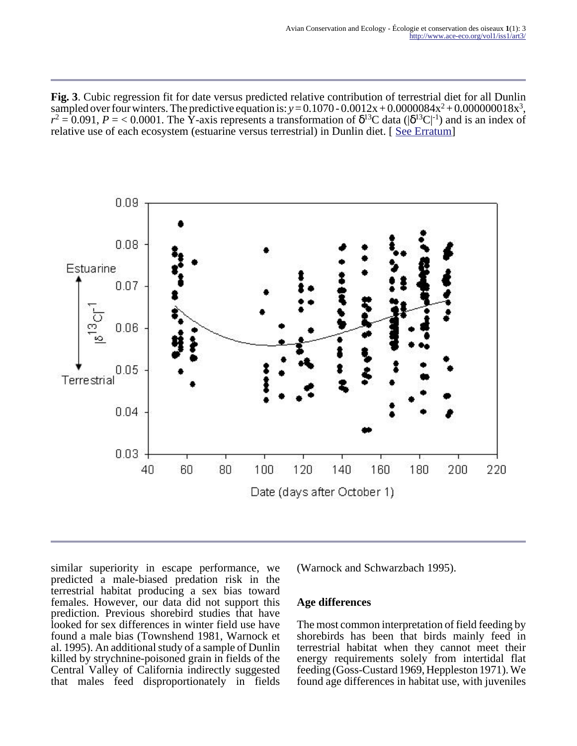**Fig. 3**. Cubic regression fit for date versus predicted relative contribution of terrestrial diet for all Dunlin sampled over four winters. The predictive equation is:  $y = 0.1070 - 0.0012x + 0.0000084x^2 + 0.000000018x^3$ ,  $r^2 = 0.091$ ,  $P = < 0.0001$ . The Y-axis represents a transformation of  $\delta^{13}C$  data ( $|\delta^{13}C|$ <sup>-1</sup>) and is an index of relative use of each ecosystem (estuarine versus terrestrial) in Dunlin diet. [ [See Erratum](http://www.ace-eco.org/vol1/iss1/art3/errata.html)]



similar superiority in escape performance, we predicted a male-biased predation risk in the terrestrial habitat producing a sex bias toward females. However, our data did not support this prediction. Previous shorebird studies that have looked for sex differences in winter field use have found a male bias (Townshend 1981, Warnock et al. 1995). An additional study of a sample of Dunlin killed by strychnine-poisoned grain in fields of the Central Valley of California indirectly suggested that males feed disproportionately in fields

(Warnock and Schwarzbach 1995).

#### **Age differences**

The most common interpretation of field feeding by shorebirds has been that birds mainly feed in terrestrial habitat when they cannot meet their energy requirements solely from intertidal flat feeding (Goss-Custard 1969, Heppleston 1971). We found age differences in habitat use, with juveniles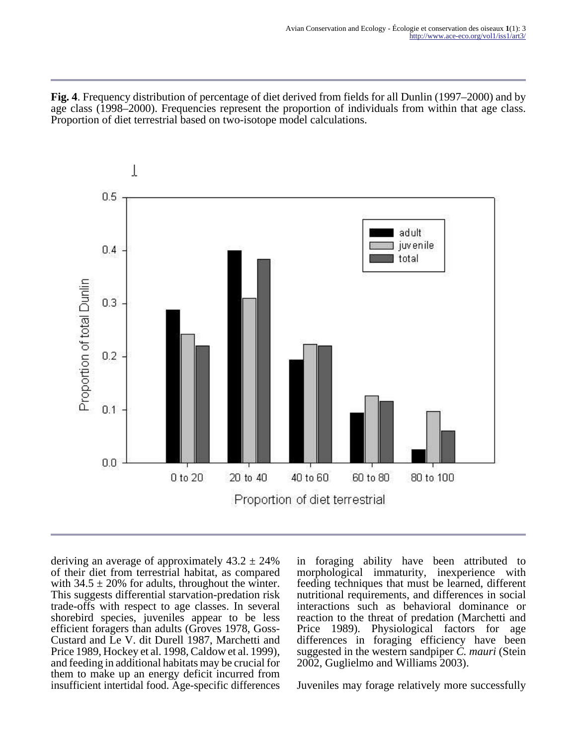**Fig. 4**. Frequency distribution of percentage of diet derived from fields for all Dunlin (1997–2000) and by age class (1998–2000). Frequencies represent the proportion of individuals from within that age class. Proportion of diet terrestrial based on two-isotope model calculations.



deriving an average of approximately  $43.2 \pm 24\%$ of their diet from terrestrial habitat, as compared with  $34.5 \pm 20\%$  for adults, throughout the winter. This suggests differential starvation-predation risk trade-offs with respect to age classes. In several shorebird species, juveniles appear to be less efficient foragers than adults (Groves 1978, Goss-Custard and Le V. dit Durell 1987, Marchetti and Price 1989, Hockey et al. 1998, Caldow et al. 1999), and feeding in additional habitats may be crucial for them to make up an energy deficit incurred from insufficient intertidal food. Age-specific differences

in foraging ability have been attributed to morphological immaturity, inexperience with feeding techniques that must be learned, different nutritional requirements, and differences in social interactions such as behavioral dominance or reaction to the threat of predation (Marchetti and Price 1989). Physiological factors for age differences in foraging efficiency have been suggested in the western sandpiper *C. mauri* (Stein 2002, Guglielmo and Williams 2003).

Juveniles may forage relatively more successfully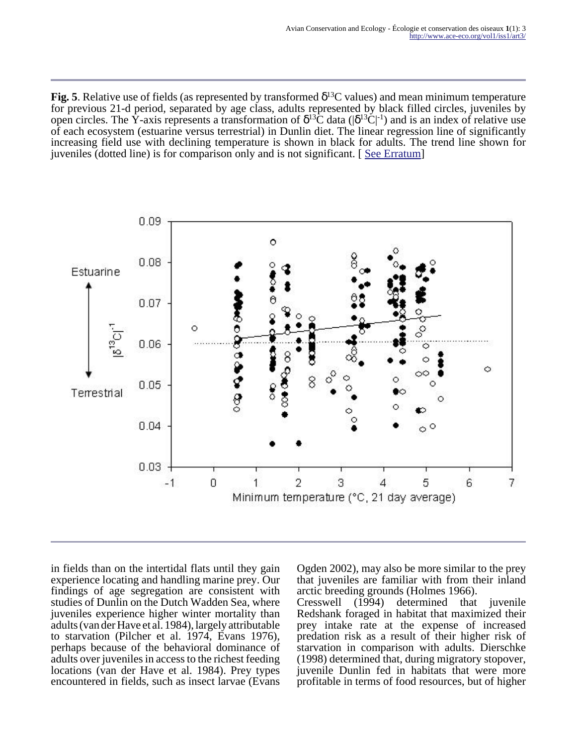**Fig. 5**. Relative use of fields (as represented by transformed δ <sup>13</sup>C values) and mean minimum temperature for previous 21-d period, separated by age class, adults represented by black filled circles, juveniles by open circles. The Y-axis represents a transformation of  $\delta^{13}$ C data ( $|\delta^{13}$ C|-1) and is an index of relative use of each ecosystem (estuarine versus terrestrial) in Dunlin diet. The linear regression line of significantly increasing field use with declining temperature is shown in black for adults. The trend line shown for juveniles (dotted line) is for comparison only and is not significant. [ [See Erratum\]](http://www.ace-eco.org/vol1/iss1/art3/errata.html)



in fields than on the intertidal flats until they gain experience locating and handling marine prey. Our findings of age segregation are consistent with studies of Dunlin on the Dutch Wadden Sea, where juveniles experience higher winter mortality than adults (van der Have et al. 1984), largely attributable to starvation (Pilcher et al. 1974, Evans 1976), perhaps because of the behavioral dominance of adults over juveniles in access to the richest feeding locations (van der Have et al. 1984). Prey types encountered in fields, such as insect larvae (Evans

Ogden 2002), may also be more similar to the prey that juveniles are familiar with from their inland arctic breeding grounds (Holmes 1966).

Cresswell (1994) determined that juvenile Redshank foraged in habitat that maximized their prey intake rate at the expense of increased predation risk as a result of their higher risk of starvation in comparison with adults. Dierschke (1998) determined that, during migratory stopover, juvenile Dunlin fed in habitats that were more profitable in terms of food resources, but of higher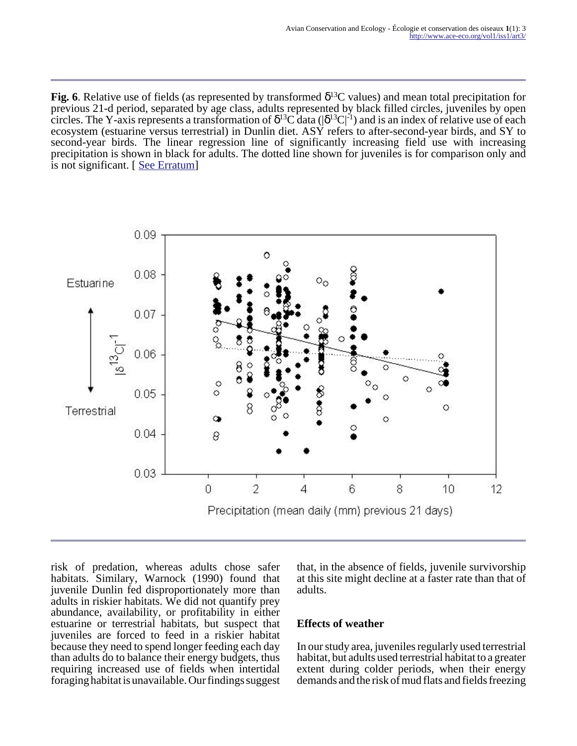**Fig. 6**. Relative use of fields (as represented by transformed δ <sup>13</sup>C values) and mean total precipitation for previous 21-d period, separated by age class, adults represented by black filled circles, juveniles by open circles. The Y-axis represents a transformation of  $\delta^{13}C$  data ( $|\delta^{13}C|$ -1) and is an index of relative use of each ecosystem (estuarine versus terrestrial) in Dunlin diet. ASY refers to after-second-year birds, and SY to second-year birds. The linear regression line of significantly increasing field use with increasing precipitation is shown in black for adults. The dotted line shown for juveniles is for comparison only and is not significant. [ [See Erratum\]](http://www.ace-eco.org/vol1/iss1/art3/errata.html)



risk of predation, whereas adults chose safer habitats. Similary, Warnock (1990) found that juvenile Dunlin fed disproportionately more than adults in riskier habitats. We did not quantify prey abundance, availability, or profitability in either estuarine or terrestrial habitats, but suspect that juveniles are forced to feed in a riskier habitat because they need to spend longer feeding each day than adults do to balance their energy budgets, thus requiring increased use of fields when intertidal foraging habitat is unavailable. Our findings suggest that, in the absence of fields, juvenile survivorship at this site might decline at a faster rate than that of adults.

### **Effects of weather**

In our study area, juveniles regularly used terrestrial habitat, but adults used terrestrial habitat to a greater extent during colder periods, when their energy demands and the risk of mud flats and fields freezing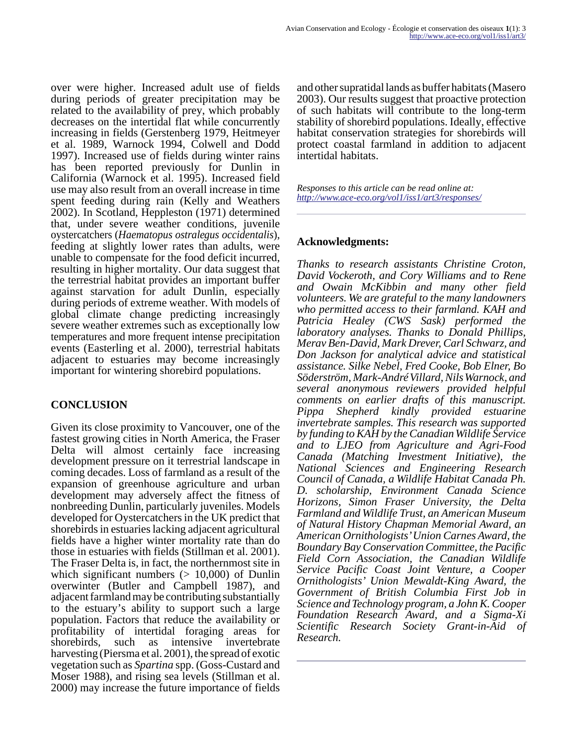over were higher. Increased adult use of fields during periods of greater precipitation may be related to the availability of prey, which probably decreases on the intertidal flat while concurrently increasing in fields (Gerstenberg 1979, Heitmeyer et al. 1989, Warnock 1994, Colwell and Dodd 1997). Increased use of fields during winter rains has been reported previously for Dunlin in California (Warnock et al. 1995). Increased field use may also result from an overall increase in time spent feeding during rain (Kelly and Weathers 2002). In Scotland, Heppleston (1971) determined that, under severe weather conditions, juvenile oystercatchers (*Haematopus ostralegus occidentalis*), feeding at slightly lower rates than adults, were unable to compensate for the food deficit incurred, resulting in higher mortality. Our data suggest that the terrestrial habitat provides an important buffer against starvation for adult Dunlin, especially during periods of extreme weather. With models of global climate change predicting increasingly severe weather extremes such as exceptionally low temperatures and more frequent intense precipitation events (Easterling et al. 2000), terrestrial habitats adjacent to estuaries may become increasingly important for wintering shorebird populations.

# **CONCLUSION**

Given its close proximity to Vancouver, one of the fastest growing cities in North America, the Fraser Delta will almost certainly face increasing development pressure on it terrestrial landscape in coming decades. Loss of farmland as a result of the expansion of greenhouse agriculture and urban development may adversely affect the fitness of nonbreeding Dunlin, particularly juveniles. Models developed for Oystercatchers in the UK predict that shorebirds in estuaries lacking adjacent agricultural fields have a higher winter mortality rate than do those in estuaries with fields (Stillman et al. 2001). The Fraser Delta is, in fact, the northernmost site in which significant numbers  $(> 10,000)$  of Dunlin overwinter (Butler and Campbell 1987), and adjacent farmland may be contributing substantially to the estuary's ability to support such a large population. Factors that reduce the availability or profitability of intertidal foraging areas for shorebirds, such as intensive invertebrate harvesting (Piersma et al. 2001), the spread of exotic vegetation such as *Spartina* spp. (Goss-Custard and Moser 1988), and rising sea levels (Stillman et al. 2000) may increase the future importance of fields

and other supratidal lands as buffer habitats (Masero 2003). Our results suggest that proactive protection of such habitats will contribute to the long-term stability of shorebird populations. Ideally, effective habitat conservation strategies for shorebirds will protect coastal farmland in addition to adjacent intertidal habitats.

*Responses to this article can be read online at: <http://www.ace-eco.org/vol1/iss1/art3/responses/>*

## **Acknowledgments:**

*Thanks to research assistants Christine Croton, David Vockeroth, and Cory Williams and to Rene and Owain McKibbin and many other field volunteers. We are grateful to the many landowners who permitted access to their farmland. KAH and Patricia Healey (CWS Sask) performed the laboratory analyses. Thanks to Donald Phillips, Merav Ben-David, Mark Drever, Carl Schwarz, and Don Jackson for analytical advice and statistical assistance. Silke Nebel, Fred Cooke, Bob Elner, Bo Söderström, Mark-André Villard, Nils Warnock, and several anonymous reviewers provided helpful comments on earlier drafts of this manuscript. Pippa Shepherd kindly provided estuarine invertebrate samples. This research was supported by funding to KAH by the Canadian Wildlife Service and to LJEO from Agriculture and Agri-Food Canada (Matching Investment Initiative), the National Sciences and Engineering Research Council of Canada, a Wildlife Habitat Canada Ph. D. scholarship, Environment Canada Science Horizons, Simon Fraser University, the Delta Farmland and Wildlife Trust, an American Museum of Natural History Chapman Memorial Award, an American Ornithologists' Union Carnes Award, the Boundary Bay Conservation Committee, the Pacific Field Corn Association, the Canadian Wildlife Service Pacific Coast Joint Venture, a Cooper Ornithologists' Union Mewaldt-King Award, the Government of British Columbia First Job in Science and Technology program, a John K. Cooper Foundation Research Award, and a Sigma-Xi Scientific Research Society Grant-in-Aid of Research.*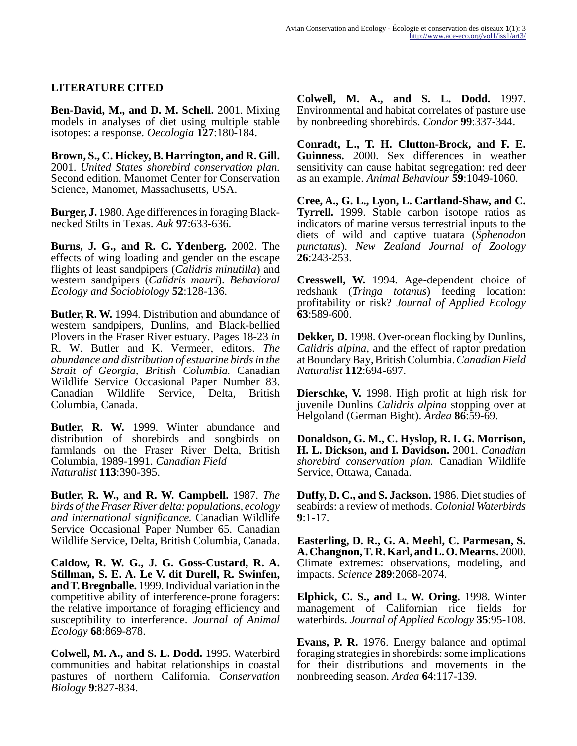## **LITERATURE CITED**

**Ben-David, M., and D. M. Schell.** 2001. Mixing models in analyses of diet using multiple stable isotopes: a response. *Oecologia* **127**:180-184.

**Brown, S., C. Hickey, B. Harrington, and R. Gill.** 2001. *United States shorebird conservation plan.* Second edition. Manomet Center for Conservation Science, Manomet, Massachusetts, USA.

**Burger, J.** 1980. Age differences in foraging Blacknecked Stilts in Texas. *Auk* **97**:633-636.

**Burns, J. G., and R. C. Ydenberg.** 2002. The effects of wing loading and gender on the escape flights of least sandpipers (*Calidris minutilla*) and western sandpipers (*Calidris mauri*). *Behavioral Ecology and Sociobiology* **52**:128-136.

**Butler, R. W.** 1994. Distribution and abundance of western sandpipers, Dunlins, and Black-bellied Plovers in the Fraser River estuary. Pages 18-23 *in* R. W. Butler and K. Vermeer, editors. *The abundance and distribution of estuarine birds in the Strait of Georgia, British Columbia.* Canadian Wildlife Service Occasional Paper Number 83. Canadian Wildlife Service, Delta, British Columbia, Canada.

**Butler, R. W.** 1999. Winter abundance and distribution of shorebirds and songbirds on farmlands on the Fraser River Delta, British Columbia, 1989-1991. *Canadian Field Naturalist* **113**:390-395.

**Butler, R. W., and R. W. Campbell.** 1987. *The birds of the Fraser River delta: populations, ecology and international significance.* Canadian Wildlife Service Occasional Paper Number 65. Canadian Wildlife Service, Delta, British Columbia, Canada.

**Caldow, R. W. G., J. G. Goss-Custard, R. A. Stillman, S. E. A. Le V. dit Durell, R. Swinfen, and T. Bregnballe.** 1999. Individual variation in the competitive ability of interference-prone foragers: the relative importance of foraging efficiency and susceptibility to interference. *Journal of Animal Ecology* **68**:869-878.

**Colwell, M. A., and S. L. Dodd.** 1995. Waterbird communities and habitat relationships in coastal pastures of northern California. *Conservation Biology* **9**:827-834.

**Colwell, M. A., and S. L. Dodd.** 1997. Environmental and habitat correlates of pasture use by nonbreeding shorebirds. *Condor* **99**:337-344.

**Conradt, L., T. H. Clutton-Brock, and F. E. Guinness.** 2000. Sex differences in weather sensitivity can cause habitat segregation: red deer as an example. *Animal Behaviour* **59**:1049-1060.

**Cree, A., G. L., Lyon, L. Cartland-Shaw, and C. Tyrrell.** 1999. Stable carbon isotope ratios as indicators of marine versus terrestrial inputs to the diets of wild and captive tuatara (*Sphenodon punctatus*). *New Zealand Journal of Zoology* **26**:243-253.

**Cresswell, W.** 1994. Age-dependent choice of redshank (*Tringa totanus*) feeding location: profitability or risk? *Journal of Applied Ecology* **63**:589-600.

**Dekker, D.** 1998. Over-ocean flocking by Dunlins, *Calidris alpina,* and the effect of raptor predation at Boundary Bay, British Columbia. *Canadian Field Naturalist* **112**:694-697.

**Dierschke, V.** 1998. High profit at high risk for juvenile Dunlins *Calidris alpina* stopping over at Helgoland (German Bight). *Ardea* **86**:59-69.

**Donaldson, G. M., C. Hyslop, R. I. G. Morrison, H. L. Dickson, and I. Davidson.** 2001. *Canadian shorebird conservation plan.* Canadian Wildlife Service, Ottawa, Canada.

**Duffy, D. C., and S. Jackson.** 1986. Diet studies of seabirds: a review of methods. *Colonial Waterbirds* **9**:1-17.

**Easterling, D. R., G. A. Meehl, C. Parmesan, S. A. Changnon, T. R. Karl, and L. O. Mearns.** 2000. Climate extremes: observations, modeling, and impacts. *Science* **289**:2068-2074.

**Elphick, C. S., and L. W. Oring.** 1998. Winter management of Californian rice fields for waterbirds. *Journal of Applied Ecology* **35**:95-108.

**Evans, P. R.** 1976. Energy balance and optimal foraging strategies in shorebirds: some implications for their distributions and movements in the nonbreeding season. *Ardea* **64**:117-139.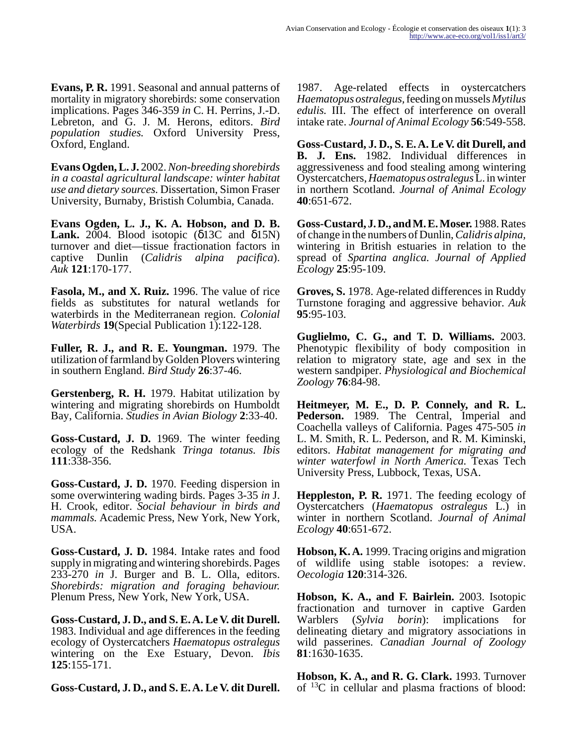**Evans, P. R.** 1991. Seasonal and annual patterns of mortality in migratory shorebirds: some conservation implications. Pages 346-359 *in* C. H. Perrins, J.-D. Lebreton, and G. J. M. Herons, editors. *Bird population studies.* Oxford University Press, Oxford, England.

**Evans Ogden, L. J.** 2002. *Non-breeding shorebirds in a coastal agricultural landscape: winter habitat use and dietary sources.* Dissertation, Simon Fraser University, Burnaby, Bristish Columbia, Canada.

**Evans Ogden, L. J., K. A. Hobson, and D. B. Lank.** 2004. Blood isotopic (δ13C and δ15N) turnover and diet—tissue fractionation factors in captive Dunlin (*Calidris alpina pacifica*). *Auk* **121**:170-177.

**Fasola, M., and X. Ruiz.** 1996. The value of rice fields as substitutes for natural wetlands for waterbirds in the Mediterranean region. *Colonial Waterbirds* **19**(Special Publication 1):122-128.

**Fuller, R. J., and R. E. Youngman.** 1979. The utilization of farmland by Golden Plovers wintering in southern England. *Bird Study* **26**:37-46.

**Gerstenberg, R. H.** 1979. Habitat utilization by wintering and migrating shorebirds on Humboldt Bay, California. *Studies in Avian Biology* **2**:33-40.

**Goss-Custard, J. D.** 1969. The winter feeding ecology of the Redshank *Tringa totanus. Ibis* **111**:338-356.

**Goss-Custard, J. D.** 1970. Feeding dispersion in some overwintering wading birds. Pages 3-35 *in* J. H. Crook, editor. *Social behaviour in birds and mammals.* Academic Press, New York, New York, USA.

**Goss-Custard, J. D.** 1984. Intake rates and food supply in migrating and wintering shorebirds. Pages 233-270 *in* J. Burger and B. L. Olla, editors. *Shorebirds: migration and foraging behaviour.* Plenum Press, New York, New York, USA.

**Goss-Custard, J. D., and S. E. A. Le V. dit Durell.** 1983. Individual and age differences in the feeding ecology of Oystercatchers *Haematopus ostralegus* wintering on the Exe Estuary, Devon. *Ibis* **125**:155-171.

**Goss-Custard, J. D., and S. E. A. Le V. dit Durell.**

1987. Age-related effects in oystercatchers *Haematopus ostralegus,* feeding on mussels *Mytilus edulis.* III. The effect of interference on overall intake rate. *Journal of Animal Ecology* **56**:549-558.

**Goss-Custard, J. D., S. E. A. Le V. dit Durell, and B. J. Ens.** 1982. Individual differences in aggressiveness and food stealing among wintering Oystercatchers, *Haematopus ostralegus* L. in winter in northern Scotland. *Journal of Animal Ecology* **40**:651-672.

**Goss-Custard, J. D., and M. E. Moser.** 1988. Rates of change in the numbers of Dunlin, *Calidris alpina,* wintering in British estuaries in relation to the spread of *Spartina anglica. Journal of Applied Ecology* **25**:95-109.

**Groves, S.** 1978. Age-related differences in Ruddy Turnstone foraging and aggressive behavior. *Auk* **95**:95-103.

**Guglielmo, C. G., and T. D. Williams.** 2003. Phenotypic flexibility of body composition in relation to migratory state, age and sex in the western sandpiper. *Physiological and Biochemical Zoology* **76**:84-98.

**Heitmeyer, M. E., D. P. Connely, and R. L. Pederson.** 1989. The Central, Imperial and Coachella valleys of California. Pages 475-505 *in* L. M. Smith, R. L. Pederson, and R. M. Kiminski, editors. *Habitat management for migrating and winter waterfowl in North America.* Texas Tech University Press, Lubbock, Texas, USA.

**Heppleston, P. R.** 1971. The feeding ecology of Oystercatchers (*Haematopus ostralegus* L.) in winter in northern Scotland. *Journal of Animal Ecology* **40**:651-672.

**Hobson, K. A.** 1999. Tracing origins and migration of wildlife using stable isotopes: a review. *Oecologia* **120**:314-326.

**Hobson, K. A., and F. Bairlein.** 2003. Isotopic fractionation and turnover in captive Garden Warblers (*Sylvia borin*): implications for delineating dietary and migratory associations in wild passerines. *Canadian Journal of Zoology* **81**:1630-1635.

**Hobson, K. A., and R. G. Clark.** 1993. Turnover of  $^{13}C$  in cellular and plasma fractions of blood: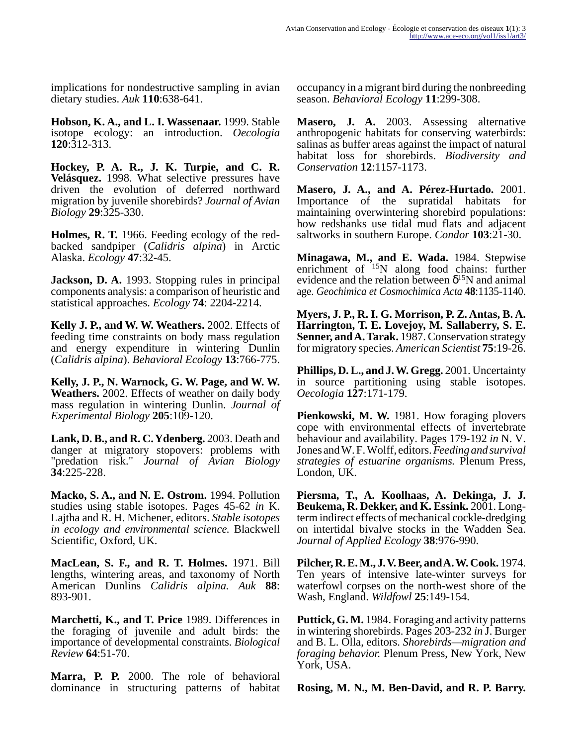implications for nondestructive sampling in avian dietary studies. *Auk* **110**:638-641.

**Hobson, K. A., and L. I. Wassenaar.** 1999. Stable isotope ecology: an introduction. *Oecologia* **120**:312-313.

**Hockey, P. A. R., J. K. Turpie, and C. R. Velásquez.** 1998. What selective pressures have driven the evolution of deferred northward migration by juvenile shorebirds? *Journal of Avian Biology* **29**:325-330.

**Holmes, R. T.** 1966. Feeding ecology of the redbacked sandpiper (*Calidris alpina*) in Arctic Alaska. *Ecology* **47**:32-45.

**Jackson, D. A.** 1993. Stopping rules in principal components analysis: a comparison of heuristic and statistical approaches. *Ecology* **74**: 2204-2214.

**Kelly J. P., and W. W. Weathers.** 2002. Effects of feeding time constraints on body mass regulation and energy expenditure in wintering Dunlin (*Calidris alpina*). *Behavioral Ecology* **13**:766-775.

**Kelly, J. P., N. Warnock, G. W. Page, and W. W. Weathers.** 2002. Effects of weather on daily body mass regulation in wintering Dunlin. *Journal of Experimental Biology* **205**:109-120.

**Lank, D. B., and R. C. Ydenberg.** 2003. Death and danger at migratory stopovers: problems with "predation risk." *Journal of Avian Biology* **34**:225-228.

**Macko, S. A., and N. E. Ostrom.** 1994. Pollution studies using stable isotopes. Pages 45-62 *in* K. Lajtha and R. H. Michener, editors. *Stable isotopes in ecology and environmental science.* Blackwell Scientific, Oxford, UK.

**MacLean, S. F., and R. T. Holmes.** 1971. Bill lengths, wintering areas, and taxonomy of North American Dunlins *Calidris alpina. Auk* **88**: 893-901.

**Marchetti, K., and T. Price** 1989. Differences in the foraging of juvenile and adult birds: the importance of developmental constraints. *Biological Review* **64**:51-70.

**Marra, P. P.** 2000. The role of behavioral dominance in structuring patterns of habitat occupancy in a migrant bird during the nonbreeding season. *Behavioral Ecology* **11**:299-308.

**Masero, J. A.** 2003. Assessing alternative anthropogenic habitats for conserving waterbirds: salinas as buffer areas against the impact of natural habitat loss for shorebirds. *Biodiversity and Conservation* **12**:1157-1173.

**Masero, J. A., and A. Pérez-Hurtado.** 2001. Importance of the supratidal habitats for maintaining overwintering shorebird populations: how redshanks use tidal mud flats and adjacent saltworks in southern Europe. *Condor* **103**:21-30.

**Minagawa, M., and E. Wada.** 1984. Stepwise enrichment of <sup>15</sup>N along food chains: further evidence and the relation between  $\delta^{15}N$  and animal age. *Geochimica et Cosmochimica Acta* **48**:1135-1140.

**Myers, J. P., R. I. G. Morrison, P. Z. Antas, B. A. Harrington, T. E. Lovejoy, M. Sallaberry, S. E. Senner, and A. Tarak.** 1987. Conservation strategy for migratory species. *American Scientist* **75**:19-26.

**Phillips, D. L., and J. W. Gregg.** 2001. Uncertainty in source partitioning using stable isotopes. *Oecologia* **127**:171-179.

**Pienkowski, M. W.** 1981. How foraging plovers cope with environmental effects of invertebrate behaviour and availability. Pages 179-192 *in* N. V. Jones and W. F. Wolff, editors. *Feeding and survival strategies of estuarine organisms.* Plenum Press, London, UK.

**Piersma, T., A. Koolhaas, A. Dekinga, J. J. Beukema, R. Dekker, and K. Essink.** 2001. Longterm indirect effects of mechanical cockle-dredging on intertidal bivalve stocks in the Wadden Sea. *Journal of Applied Ecology* **38**:976-990.

**Pilcher, R. E. M., J. V. Beer, and A. W. Cook.** 1974. Ten years of intensive late-winter surveys for waterfowl corpses on the north-west shore of the Wash, England. *Wildfowl* **25**:149-154.

**Puttick, G. M.** 1984. Foraging and activity patterns in wintering shorebirds. Pages 203-232 *in* J. Burger and B. L. Olla, editors. *Shorebirds—migration and foraging behavior.* Plenum Press, New York, New York, USA.

**Rosing, M. N., M. Ben-David, and R. P. Barry.**